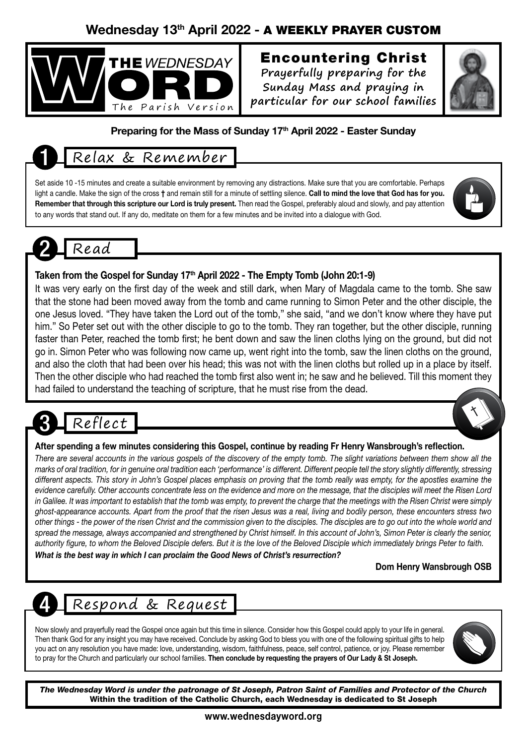## Wednesday 13th April 2022 - A WEEKLY PRAYER CUSTOM



## Encountering Christ

**Prayerfully preparing for the Sunday Mass and praying in particular for our school families**



#### Preparing for the Mass of Sunday 17<sup>th</sup> April 2022 - Easter Sunday

## 1 Relax & Remember

Set aside 10 -15 minutes and create a suitable environment by removing any distractions. Make sure that you are comfortable. Perhaps light a candle. Make the sign of the cross † and remain still for a minute of settling silence. Call to mind the love that God has for you. Remember that through this scripture our Lord is truly present. Then read the Gospel, preferably aloud and slowly, and pay attention to any words that stand out. If any do, meditate on them for a few minutes and be invited into a dialogue with God.

## 2 Read

#### Taken from the Gospel for Sunday 17<sup>th</sup> April 2022 - The Empty Tomb (John 20:1-9)

It was very early on the first day of the week and still dark, when Mary of Magdala came to the tomb. She saw that the stone had been moved away from the tomb and came running to Simon Peter and the other disciple, the one Jesus loved. "They have taken the Lord out of the tomb," she said, "and we don't know where they have put him." So Peter set out with the other disciple to go to the tomb. They ran together, but the other disciple, running faster than Peter, reached the tomb first; he bent down and saw the linen cloths lying on the ground, but did not go in. Simon Peter who was following now came up, went right into the tomb, saw the linen cloths on the ground, and also the cloth that had been over his head; this was not with the linen cloths but rolled up in a place by itself. Then the other disciple who had reached the tomb first also went in; he saw and he believed. Till this moment they had failed to understand the teaching of scripture, that he must rise from the dead.

# Reflect

#### After spending a few minutes considering this Gospel, continue by reading Fr Henry Wansbrough's reflection.

*There are several accounts in the various gospels of the discovery of the empty tomb. The slight variations between them show all the marks of oral tradition, for in genuine oral tradition each 'performance' is different. Different people tell the story slightly differently, stressing*  different aspects. This story in John's Gospel places emphasis on proving that the tomb really was empty, for the apostles examine the *evidence carefully. Other accounts concentrate less on the evidence and more on the message, that the disciples will meet the Risen Lord in Galilee. It was important to establish that the tomb was empty, to prevent the charge that the meetings with the Risen Christ were simply ghost-appearance accounts. Apart from the proof that the risen Jesus was a real, living and bodily person, these encounters stress two other things - the power of the risen Christ and the commission given to the disciples. The disciples are to go out into the whole world and spread the message, always accompanied and strengthened by Christ himself. In this account of John's, Simon Peter is clearly the senior, authority figure, to whom the Beloved Disciple defers. But it is the love of the Beloved Disciple which immediately brings Peter to faith.*

*What is the best way in which I can proclaim the Good News of Christ's resurrection?*

#### Dom Henry Wansbrough OSB

## 4 Respond & Request

Now slowly and prayerfully read the Gospel once again but this time in silence. Consider how this Gospel could apply to your life in general. Then thank God for any insight you may have received. Conclude by asking God to bless you with one of the following spiritual gifts to help you act on any resolution you have made: love, understanding, wisdom, faithfulness, peace, self control, patience, or joy. Please remember to pray for the Church and particularly our school families. Then conclude by requesting the prayers of Our Lady & St Joseph.



*The Wednesday Word is under the patronage of St Joseph, Patron Saint of Families and Protector of the Church* Within the tradition of the Catholic Church, each Wednesday is dedicated to St Joseph